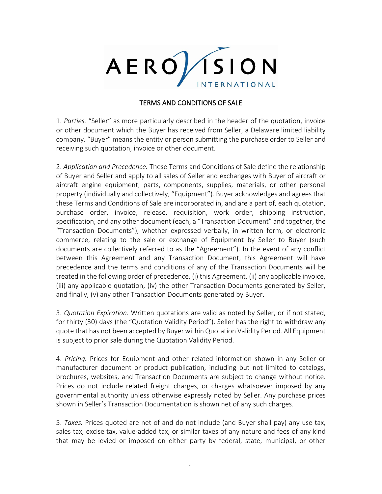

## TERMS AND CONDITIONS OF SALE

1. *Parties.* "Seller" as more particularly described in the header of the quotation, invoice or other document which the Buyer has received from Seller, a Delaware limited liability company. "Buyer" means the entity or person submitting the purchase order to Seller and receiving such quotation, invoice or other document.

2. *Application and Precedence.* These Terms and Conditions of Sale define the relationship of Buyer and Seller and apply to all sales of Seller and exchanges with Buyer of aircraft or aircraft engine equipment, parts, components, supplies, materials, or other personal property (individually and collectively, "Equipment"). Buyer acknowledges and agrees that these Terms and Conditions of Sale are incorporated in, and are a part of, each quotation, purchase order, invoice, release, requisition, work order, shipping instruction, specification, and any other document (each, a "Transaction Document" and together, the "Transaction Documents"), whether expressed verbally, in written form, or electronic commerce, relating to the sale or exchange of Equipment by Seller to Buyer (such documents are collectively referred to as the "Agreement"). In the event of any conflict between this Agreement and any Transaction Document, this Agreement will have precedence and the terms and conditions of any of the Transaction Documents will be treated in the following order of precedence, (i) this Agreement, (ii) any applicable invoice, (iii) any applicable quotation, (iv) the other Transaction Documents generated by Seller, and finally, (v) any other Transaction Documents generated by Buyer.

3. *Quotation Expiration.* Written quotations are valid as noted by Seller, or if not stated, for thirty (30) days (the "Quotation Validity Period"). Seller has the right to withdraw any quote that has not been accepted by Buyer within Quotation Validity Period. All Equipment is subject to prior sale during the Quotation Validity Period.

4. *Pricing.* Prices for Equipment and other related information shown in any Seller or manufacturer document or product publication, including but not limited to catalogs, brochures, websites, and Transaction Documents are subject to change without notice. Prices do not include related freight charges, or charges whatsoever imposed by any governmental authority unless otherwise expressly noted by Seller. Any purchase prices shown in Seller's Transaction Documentation is shown net of any such charges.

5. *Taxes.* Prices quoted are net of and do not include (and Buyer shall pay) any use tax, sales tax, excise tax, value-added tax, or similar taxes of any nature and fees of any kind that may be levied or imposed on either party by federal, state, municipal, or other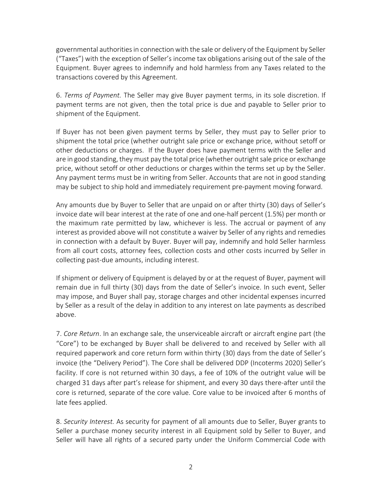governmental authorities in connection with the sale or delivery of the Equipment by Seller ("Taxes") with the exception of Seller's income tax obligations arising out of the sale of the Equipment. Buyer agrees to indemnify and hold harmless from any Taxes related to the transactions covered by this Agreement.

6. *Terms of Payment.* The Seller may give Buyer payment terms, in its sole discretion. If payment terms are not given, then the total price is due and payable to Seller prior to shipment of the Equipment.

If Buyer has not been given payment terms by Seller, they must pay to Seller prior to shipment the total price (whether outright sale price or exchange price, without setoff or other deductions or charges. If the Buyer does have payment terms with the Seller and are in good standing, they must pay the total price (whether outright sale price or exchange price, without setoff or other deductions or charges within the terms set up by the Seller. Any payment terms must be in writing from Seller. Accounts that are not in good standing may be subject to ship hold and immediately requirement pre-payment moving forward.

Any amounts due by Buyer to Seller that are unpaid on or after thirty (30) days of Seller's invoice date will bear interest at the rate of one and one-half percent (1.5%) per month or the maximum rate permitted by law, whichever is less. The accrual or payment of any interest as provided above will not constitute a waiver by Seller of any rights and remedies in connection with a default by Buyer. Buyer will pay, indemnify and hold Seller harmless from all court costs, attorney fees, collection costs and other costs incurred by Seller in collecting past-due amounts, including interest.

If shipment or delivery of Equipment is delayed by or at the request of Buyer, payment will remain due in full thirty (30) days from the date of Seller's invoice. In such event, Seller may impose, and Buyer shall pay, storage charges and other incidental expenses incurred by Seller as a result of the delay in addition to any interest on late payments as described above.

7. *Core Return*. In an exchange sale, the unserviceable aircraft or aircraft engine part (the "Core") to be exchanged by Buyer shall be delivered to and received by Seller with all required paperwork and core return form within thirty (30) days from the date of Seller's invoice (the "Delivery Period"). The Core shall be delivered DDP (Incoterms 2020) Seller's facility. If core is not returned within 30 days, a fee of 10% of the outright value will be charged 31 days after part's release for shipment, and every 30 days there-after until the core is returned, separate of the core value. Core value to be invoiced after 6 months of late fees applied.

8. *Security Interest.* As security for payment of all amounts due to Seller, Buyer grants to Seller a purchase money security interest in all Equipment sold by Seller to Buyer, and Seller will have all rights of a secured party under the Uniform Commercial Code with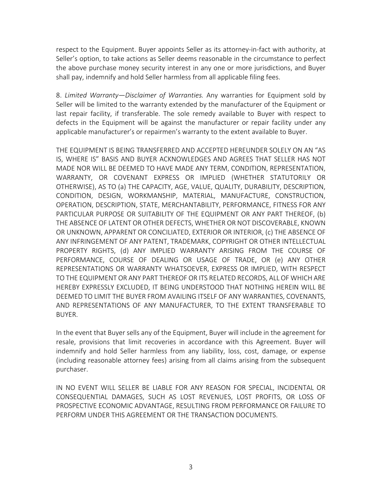respect to the Equipment. Buyer appoints Seller as its attorney-in-fact with authority, at Seller's option, to take actions as Seller deems reasonable in the circumstance to perfect the above purchase money security interest in any one or more jurisdictions, and Buyer shall pay, indemnify and hold Seller harmless from all applicable filing fees.

8. *Limited Warranty—Disclaimer of Warranties.* Any warranties for Equipment sold by Seller will be limited to the warranty extended by the manufacturer of the Equipment or last repair facility, if transferable. The sole remedy available to Buyer with respect to defects in the Equipment will be against the manufacturer or repair facility under any applicable manufacturer's or repairmen's warranty to the extent available to Buyer.

THE EQUIPMENT IS BEING TRANSFERRED AND ACCEPTED HEREUNDER SOLELY ON AN "AS IS, WHERE IS" BASIS AND BUYER ACKNOWLEDGES AND AGREES THAT SELLER HAS NOT MADE NOR WILL BE DEEMED TO HAVE MADE ANY TERM, CONDITION, REPRESENTATION, WARRANTY, OR COVENANT EXPRESS OR IMPLIED (WHETHER STATUTORILY OR OTHERWISE), AS TO (a) THE CAPACITY, AGE, VALUE, QUALITY, DURABILITY, DESCRIPTION, CONDITION, DESIGN, WORKMANSHIP, MATERIAL, MANUFACTURE, CONSTRUCTION, OPERATION, DESCRIPTION, STATE, MERCHANTABILITY, PERFORMANCE, FITNESS FOR ANY PARTICULAR PURPOSE OR SUITABILITY OF THE EQUIPMENT OR ANY PART THEREOF, (b) THE ABSENCE OF LATENT OR OTHER DEFECTS, WHETHER OR NOT DISCOVERABLE, KNOWN OR UNKNOWN, APPARENT OR CONCILIATED, EXTERIOR OR INTERIOR, (c) THE ABSENCE OF ANY INFRINGEMENT OF ANY PATENT, TRADEMARK, COPYRIGHT OR OTHER INTELLECTUAL PROPERTY RIGHTS, (d) ANY IMPLIED WARRANTY ARISING FROM THE COURSE OF PERFORMANCE, COURSE OF DEALING OR USAGE OF TRADE, OR (e) ANY OTHER REPRESENTATIONS OR WARRANTY WHATSOEVER, EXPRESS OR IMPLIED, WITH RESPECT TO THE EQUIPMENT OR ANY PART THEREOF OR ITS RELATED RECORDS, ALL OF WHICH ARE HEREBY EXPRESSLY EXCLUDED, IT BEING UNDERSTOOD THAT NOTHING HEREIN WILL BE DEEMED TO LIMIT THE BUYER FROM AVAILING ITSELF OF ANY WARRANTIES, COVENANTS, AND REPRESENTATIONS OF ANY MANUFACTURER, TO THE EXTENT TRANSFERABLE TO BUYER.

In the event that Buyer sells any of the Equipment, Buyer will include in the agreement for resale, provisions that limit recoveries in accordance with this Agreement. Buyer will indemnify and hold Seller harmless from any liability, loss, cost, damage, or expense (including reasonable attorney fees) arising from all claims arising from the subsequent purchaser.

IN NO EVENT WILL SELLER BE LIABLE FOR ANY REASON FOR SPECIAL, INCIDENTAL OR CONSEQUENTIAL DAMAGES, SUCH AS LOST REVENUES, LOST PROFITS, OR LOSS OF PROSPECTIVE ECONOMIC ADVANTAGE, RESULTING FROM PERFORMANCE OR FAILURE TO PERFORM UNDER THIS AGREEMENT OR THE TRANSACTION DOCUMENTS.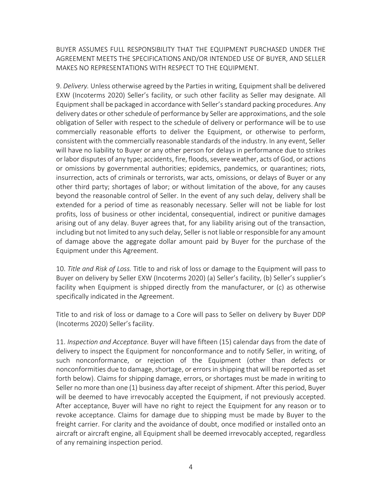BUYER ASSUMES FULL RESPONSIBILITY THAT THE EQUIPMENT PURCHASED UNDER THE AGREEMENT MEETS THE SPECIFICATIONS AND/OR INTENDED USE OF BUYER, AND SELLER MAKES NO REPRESENTATIONS WITH RESPECT TO THE EQUIPMENT.

9. *Delivery.* Unless otherwise agreed by the Parties in writing, Equipment shall be delivered EXW (Incoterms 2020) Seller's facility, or such other facility as Seller may designate. All Equipment shall be packaged in accordance with Seller's standard packing procedures. Any delivery dates or other schedule of performance by Seller are approximations, and the sole obligation of Seller with respect to the schedule of delivery or performance will be to use commercially reasonable efforts to deliver the Equipment, or otherwise to perform, consistent with the commercially reasonable standards of the industry. In any event, Seller will have no liability to Buyer or any other person for delays in performance due to strikes or labor disputes of any type; accidents, fire, floods, severe weather, acts of God, or actions or omissions by governmental authorities; epidemics, pandemics, or quarantines; riots, insurrection, acts of criminals or terrorists, war acts, omissions, or delays of Buyer or any other third party; shortages of labor; or without limitation of the above, for any causes beyond the reasonable control of Seller. In the event of any such delay, delivery shall be extended for a period of time as reasonably necessary. Seller will not be liable for lost profits, loss of business or other incidental, consequential, indirect or punitive damages arising out of any delay. Buyer agrees that, for any liability arising out of the transaction, including but not limited to any such delay, Seller is not liable or responsible for any amount of damage above the aggregate dollar amount paid by Buyer for the purchase of the Equipment under this Agreement.

10. *Title and Risk of Loss.* Title to and risk of loss or damage to the Equipment will pass to Buyer on delivery by Seller EXW (Incoterms 2020) (a) Seller's facility, (b) Seller's supplier's facility when Equipment is shipped directly from the manufacturer, or (c) as otherwise specifically indicated in the Agreement.

Title to and risk of loss or damage to a Core will pass to Seller on delivery by Buyer DDP (Incoterms 2020) Seller's facility.

11. *Inspection and Acceptance.* Buyer will have fifteen (15) calendar days from the date of delivery to inspect the Equipment for nonconformance and to notify Seller, in writing, of such nonconformance, or rejection of the Equipment (other than defects or nonconformities due to damage, shortage, or errors in shipping that will be reported as set forth below). Claims for shipping damage, errors, or shortages must be made in writing to Seller no more than one (1) business day after receipt of shipment. After this period, Buyer will be deemed to have irrevocably accepted the Equipment, if not previously accepted. After acceptance, Buyer will have no right to reject the Equipment for any reason or to revoke acceptance. Claims for damage due to shipping must be made by Buyer to the freight carrier. For clarity and the avoidance of doubt, once modified or installed onto an aircraft or aircraft engine, all Equipment shall be deemed irrevocably accepted, regardless of any remaining inspection period.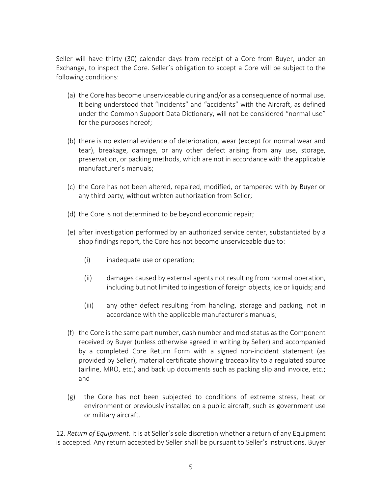Seller will have thirty (30) calendar days from receipt of a Core from Buyer, under an Exchange, to inspect the Core. Seller's obligation to accept a Core will be subject to the following conditions:

- (a) the Core has become unserviceable during and/or as a consequence of normal use. It being understood that "incidents" and "accidents" with the Aircraft, as defined under the Common Support Data Dictionary, will not be considered "normal use" for the purposes hereof;
- (b) there is no external evidence of deterioration, wear (except for normal wear and tear), breakage, damage, or any other defect arising from any use, storage, preservation, or packing methods, which are not in accordance with the applicable manufacturer's manuals;
- (c) the Core has not been altered, repaired, modified, or tampered with by Buyer or any third party, without written authorization from Seller;
- (d) the Core is not determined to be beyond economic repair;
- (e) after investigation performed by an authorized service center, substantiated by a shop findings report, the Core has not become unserviceable due to:
	- (i) inadequate use or operation;
	- (ii) damages caused by external agents not resulting from normal operation, including but not limited to ingestion of foreign objects, ice or liquids; and
	- (iii) any other defect resulting from handling, storage and packing, not in accordance with the applicable manufacturer's manuals;
- (f) the Core is the same part number, dash number and mod status as the Component received by Buyer (unless otherwise agreed in writing by Seller) and accompanied by a completed Core Return Form with a signed non-incident statement (as provided by Seller), material certificate showing traceability to a regulated source (airline, MRO, etc.) and back up documents such as packing slip and invoice, etc.; and
- (g) the Core has not been subjected to conditions of extreme stress, heat or environment or previously installed on a public aircraft, such as government use or military aircraft.

12. *Return of Equipment.* It is at Seller's sole discretion whether a return of any Equipment is accepted. Any return accepted by Seller shall be pursuant to Seller's instructions. Buyer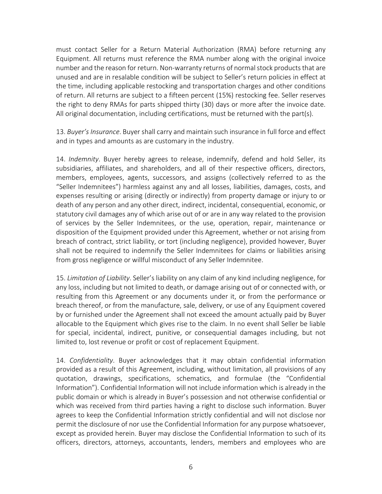must contact Seller for a Return Material Authorization (RMA) before returning any Equipment. All returns must reference the RMA number along with the original invoice number and the reason for return. Non-warranty returns of normal stock products that are unused and are in resalable condition will be subject to Seller's return policies in effect at the time, including applicable restocking and transportation charges and other conditions of return. All returns are subject to a fifteen percent (15%) restocking fee. Seller reserves the right to deny RMAs for parts shipped thirty (30) days or more after the invoice date. All original documentation, including certifications, must be returned with the part(s).

13. *Buyer's Insurance*. Buyer shall carry and maintain such insurance in full force and effect and in types and amounts as are customary in the industry.

14. *Indemnity*. Buyer hereby agrees to release, indemnify, defend and hold Seller, its subsidiaries, affiliates, and shareholders, and all of their respective officers, directors, members, employees, agents, successors, and assigns (collectively referred to as the "Seller Indemnitees") harmless against any and all losses, liabilities, damages, costs, and expenses resulting or arising (directly or indirectly) from property damage or injury to or death of any person and any other direct, indirect, incidental, consequential, economic, or statutory civil damages any of which arise out of or are in any way related to the provision of services by the Seller Indemnitees, or the use, operation, repair, maintenance or disposition of the Equipment provided under this Agreement, whether or not arising from breach of contract, strict liability, or tort (including negligence), provided however, Buyer shall not be required to indemnify the Seller Indemnitees for claims or liabilities arising from gross negligence or willful misconduct of any Seller Indemnitee.

15. *Limitation of Liability*. Seller's liability on any claim of any kind including negligence, for any loss, including but not limited to death, or damage arising out of or connected with, or resulting from this Agreement or any documents under it, or from the performance or breach thereof, or from the manufacture, sale, delivery, or use of any Equipment covered by or furnished under the Agreement shall not exceed the amount actually paid by Buyer allocable to the Equipment which gives rise to the claim. In no event shall Seller be liable for special, incidental, indirect, punitive, or consequential damages including, but not limited to, lost revenue or profit or cost of replacement Equipment.

14. *Confidentiality*. Buyer acknowledges that it may obtain confidential information provided as a result of this Agreement, including, without limitation, all provisions of any quotation, drawings, specifications, schematics, and formulae (the "Confidential Information"). Confidential Information will not include information which is already in the public domain or which is already in Buyer's possession and not otherwise confidential or which was received from third parties having a right to disclose such information. Buyer agrees to keep the Confidential Information strictly confidential and will not disclose nor permit the disclosure of nor use the Confidential Information for any purpose whatsoever, except as provided herein. Buyer may disclose the Confidential Information to such of its officers, directors, attorneys, accountants, lenders, members and employees who are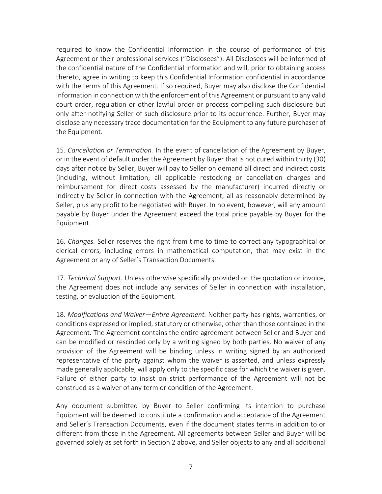required to know the Confidential Information in the course of performance of this Agreement or their professional services ("Disclosees"). All Disclosees will be informed of the confidential nature of the Confidential Information and will, prior to obtaining access thereto, agree in writing to keep this Confidential Information confidential in accordance with the terms of this Agreement. If so required, Buyer may also disclose the Confidential Information in connection with the enforcement of this Agreement or pursuant to any valid court order, regulation or other lawful order or process compelling such disclosure but only after notifying Seller of such disclosure prior to its occurrence. Further, Buyer may disclose any necessary trace documentation for the Equipment to any future purchaser of the Equipment.

15. *Cancellation or Termination.* In the event of cancellation of the Agreement by Buyer, or in the event of default under the Agreement by Buyer that is not cured within thirty (30) days after notice by Seller, Buyer will pay to Seller on demand all direct and indirect costs (including, without limitation, all applicable restocking or cancellation charges and reimbursement for direct costs assessed by the manufacturer) incurred directly or indirectly by Seller in connection with the Agreement, all as reasonably determined by Seller, plus any profit to be negotiated with Buyer. In no event, however, will any amount payable by Buyer under the Agreement exceed the total price payable by Buyer for the Equipment.

16. *Changes.* Seller reserves the right from time to time to correct any typographical or clerical errors, including errors in mathematical computation, that may exist in the Agreement or any of Seller's Transaction Documents.

17. *Technical Support.* Unless otherwise specifically provided on the quotation or invoice, the Agreement does not include any services of Seller in connection with installation, testing, or evaluation of the Equipment.

18. *Modifications and Waiver—Entire Agreement.* Neither party has rights, warranties, or conditions expressed or implied, statutory or otherwise, other than those contained in the Agreement. The Agreement contains the entire agreement between Seller and Buyer and can be modified or rescinded only by a writing signed by both parties. No waiver of any provision of the Agreement will be binding unless in writing signed by an authorized representative of the party against whom the waiver is asserted, and unless expressly made generally applicable, will apply only to the specific case for which the waiver is given. Failure of either party to insist on strict performance of the Agreement will not be construed as a waiver of any term or condition of the Agreement.

Any document submitted by Buyer to Seller confirming its intention to purchase Equipment will be deemed to constitute a confirmation and acceptance of the Agreement and Seller's Transaction Documents, even if the document states terms in addition to or different from those in the Agreement. All agreements between Seller and Buyer will be governed solely as set forth in Section 2 above, and Seller objects to any and all additional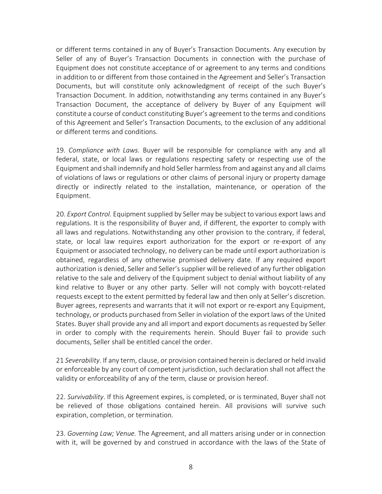or different terms contained in any of Buyer's Transaction Documents. Any execution by Seller of any of Buyer's Transaction Documents in connection with the purchase of Equipment does not constitute acceptance of or agreement to any terms and conditions in addition to or different from those contained in the Agreement and Seller's Transaction Documents, but will constitute only acknowledgment of receipt of the such Buyer's Transaction Document. In addition, notwithstanding any terms contained in any Buyer's Transaction Document, the acceptance of delivery by Buyer of any Equipment will constitute a course of conduct constituting Buyer's agreement to the terms and conditions of this Agreement and Seller's Transaction Documents, to the exclusion of any additional or different terms and conditions.

19. *Compliance with Laws.* Buyer will be responsible for compliance with any and all federal, state, or local laws or regulations respecting safety or respecting use of the Equipment and shall indemnify and hold Seller harmless from and against any and all claims of violations of laws or regulations or other claims of personal injury or property damage directly or indirectly related to the installation, maintenance, or operation of the Equipment.

20. *Export Control.* Equipment supplied by Seller may be subject to various export laws and regulations. It is the responsibility of Buyer and, if different, the exporter to comply with all laws and regulations. Notwithstanding any other provision to the contrary, if federal, state, or local law requires export authorization for the export or re-export of any Equipment or associated technology, no delivery can be made until export authorization is obtained, regardless of any otherwise promised delivery date. If any required export authorization is denied, Seller and Seller's supplier will be relieved of any further obligation relative to the sale and delivery of the Equipment subject to denial without liability of any kind relative to Buyer or any other party. Seller will not comply with boycott-related requests except to the extent permitted by federal law and then only at Seller's discretion. Buyer agrees, represents and warrants that it will not export or re-export any Equipment, technology, or products purchased from Seller in violation of the export laws of the United States. Buyer shall provide any and all import and export documents as requested by Seller in order to comply with the requirements herein. Should Buyer fail to provide such documents, Seller shall be entitled cancel the order.

21 *Severability*. If any term, clause, or provision contained herein is declared or held invalid or enforceable by any court of competent jurisdiction, such declaration shall not affect the validity or enforceability of any of the term, clause or provision hereof.

22. *Survivability*. If this Agreement expires, is completed, or is terminated, Buyer shall not be relieved of those obligations contained herein. All provisions will survive such expiration, completion, or termination.

23. *Governing Law; Venue.* The Agreement, and all matters arising under or in connection with it, will be governed by and construed in accordance with the laws of the State of